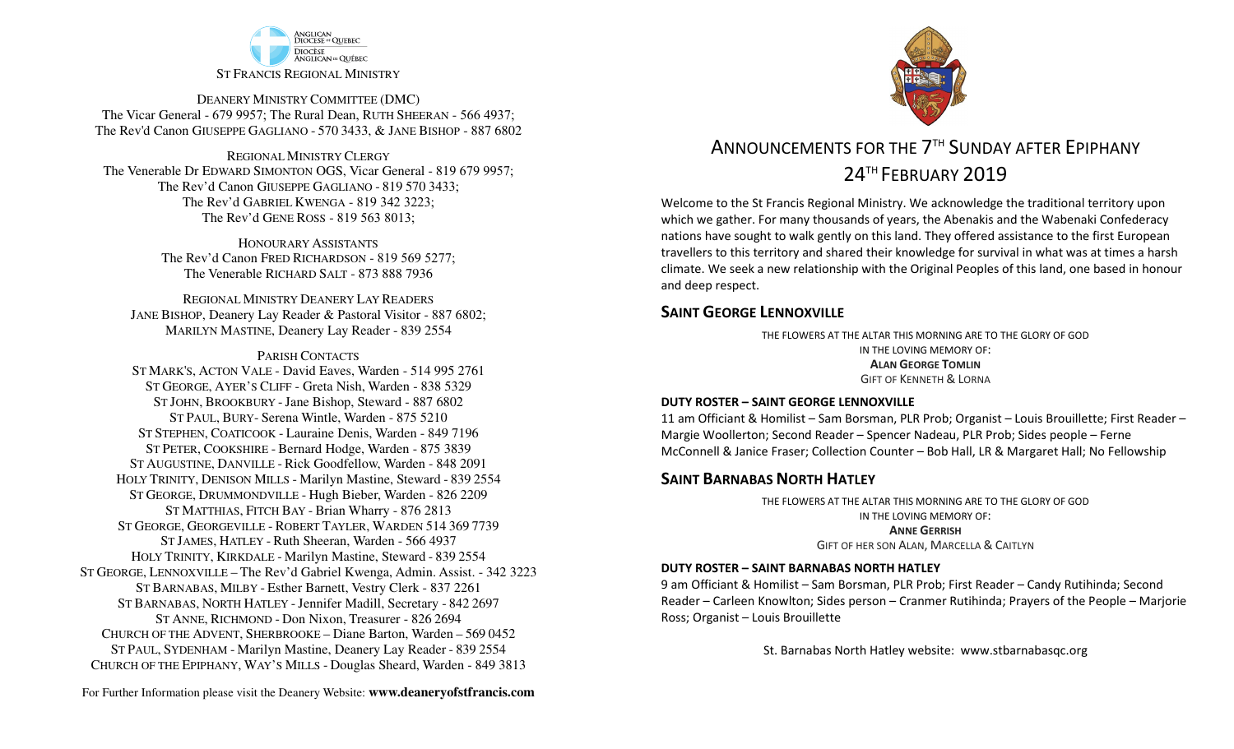

DEANERY MINISTRY COMMITTEE (DMC) The Vicar General - 679 9957; The Rural Dean, RUTH SHEERAN - 566 4937; The Rev'd Canon GIUSEPPE GAGLIANO - <sup>570</sup> 3433, & JANE BISHOP - 887 6802

REGIONAL MINISTRY CLERGY The Venerable Dr EDWARD SIMONTON OGS, Vicar General - 819 679 9957;The Rev'd Canon GIUSEPPE GAGLIANO - <sup>819</sup> <sup>570</sup> 3433; The Rev'd GABRIEL KWENGA - 819 342 3223;The Rev'd GENE ROSS - 819 563 8013;

> HONOURARY ASSISTANTS The Rev'd Canon FRED RICHARDSON - 819 569 5277;The Venerable RICHARD SALT - 873 888 7936

REGIONAL MINISTRY DEANERY LAY READERS JANE BISHOP, Deanery Lay Reader & Pastoral Visitor - 887 6802;MARILYN MASTINE, Deanery Lay Reader - 839 2554

#### PARISH CONTACTS

 ST MARK'S, ACTON VALE - David Eaves, Warden - 514 995 2761 ST GEORGE, AYER'S CLIFF - Greta Nish, Warden - 838 5329 ST JOHN, BROOKBURY -Jane Bishop, Steward - 887 6802 ST PAUL, BURY- Serena Wintle, Warden - 875 5210 ST STEPHEN, COATICOOK - Lauraine Denis, Warden - 849 7196 ST PETER, COOKSHIRE - Bernard Hodge, Warden - 875 3839 ST AUGUSTINE, DANVILLE - Rick Goodfellow, Warden - 848 2091 HOLY TRINITY, DENISON MILLS - Marilyn Mastine, Steward - <sup>839</sup> <sup>2554</sup> ST GEORGE, DRUMMONDVILLE - Hugh Bieber, Warden - 826 2209 ST MATTHIAS, FITCH BAY - Brian Wharry - 876 2813 ST GEORGE, GEORGEVILLE - <sup>R</sup>OBERT TAYLER, <sup>W</sup>ARDEN <sup>514</sup> <sup>369</sup> <sup>7739</sup> ST JAMES, HATLEY - Ruth Sheeran, Warden - 566 4937 HOLY TRINITY, KIRKDALE - Marilyn Mastine, Steward - <sup>839</sup> <sup>2554</sup> ST GEORGE, LENNOXVILLE – The Rev'd Gabriel Kwenga, Admin. Assist. - 342 3223 ST BARNABAS, MILBY - Esther Barnett, Vestry Clerk - 837 2261 ST BARNABAS, NORTH HATLEY -Jennifer Madill, Secretary - <sup>842</sup> <sup>2697</sup> ST ANNE, RICHMOND - Don Nixon, Treasurer - 826 <sup>2694</sup> CHURCH OF THE ADVENT, SHERBROOKE – Diane Barton, Warden – <sup>569</sup> <sup>0452</sup> ST PAUL, SYDENHAM - Marilyn Mastine, Deanery Lay Reader - <sup>839</sup> <sup>2554</sup> CHURCH OF THE EPIPHANY, WAY'S MILLS - Douglas Sheard, Warden - 849 3813



# ANNOUNCEMENTS FOR THE 7<sup>TH</sup> SUNDAY AFTER FPIPHANY 24<sup>TH</sup> FEBRUARY 2019

Welcome to the St Francis Regional Ministry. We acknowledge the traditional territory upon which we gather. For many thousands of years, the Abenakis and the Wabenaki Confederacy nations have sought to walk gently on this land. They offered assistance to the first European travellers to this territory and shared their knowledge for survival in what was at times a harsh climate. We seek a new relationship with the Original Peoples of this land, one based in honour and deep respect.

### **SAINT GEORGE LENNOXVILLE**

THE FLOWERS AT THE ALTAR THIS MORNING ARE TO THE GLORY OF GODIN THE LOVING MEMORY OF:**ALAN GEORGE TOMLIN**GIFT OF KENNETH & <sup>L</sup>ORNA

#### **DUTY ROSTER – SAINT GEORGE LENNOXVILLE**

11 am Officiant & Homilist – Sam Borsman, PLR Prob; Organist – Louis Brouillette; First Reader – Margie Woollerton; Second Reader – Spencer Nadeau, PLR Prob; Sides people – Ferne McConnell & Janice Fraser; Collection Counter – Bob Hall, LR & Margaret Hall; No Fellowship

### **SAINT BARNABAS NORTH HATLEY**

THE FLOWERS AT THE ALTAR THIS MORNING ARE TO THE GLORY OF GODIN THE LOVING MEMORY OF:**ANNE GERRISH**GIFT OF HER SON ALAN, <sup>M</sup>ARCELLA & <sup>C</sup>AITLYN

#### **DUTY ROSTER – SAINT BARNABAS NORTH HATLEY**

9 am Officiant & Homilist – Sam Borsman, PLR Prob; First Reader – Candy Rutihinda; Second Reader – Carleen Knowlton; Sides person – Cranmer Rutihinda; Prayers of the People – Marjorie Ross; Organist – Louis Brouillette

St. Barnabas North Hatley website: www.stbarnabasqc.org

For Further Information please visit the Deanery Website: **www.deaneryofstfrancis.com**